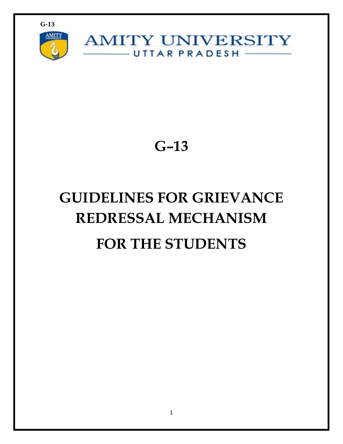

**AMITY UNIVERSITY** UTTAR PRADESH -

**G–13**

# **GUIDELINES FOR GRIEVANCE REDRESSAL MECHANISM FOR THE STUDENTS**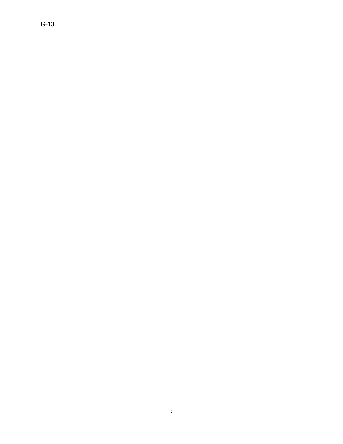## **G-13**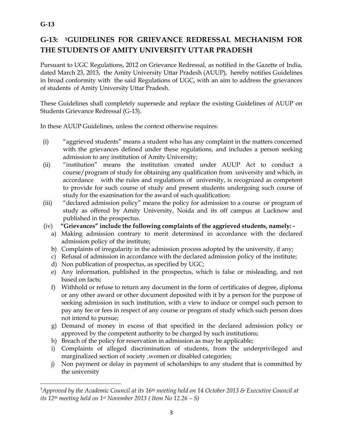### **G-13: 1GUIDELINES FOR GRIEVANCE REDRESSAL MECHANISM FOR THE STUDENTS OF AMITY UNIVERSITY UTTAR PRADESH**

Pursuant to UGC Regulations, 2012 on Grievance Redressal, as notified in the Gazette of India, dated March 23, 2013, the Amity University Uttar Pradesh (AUUP), hereby notifies Guidelines in broad conformity with the said Regulations of UGC, with an aim to address the grievances of students of Amity University Uttar Pradesh.

These Guidelines shall completely supersede and replace the existing Guidelines of AUUP on Students Grievance Redressal (G-13).

In these AUUP Guidelines, unless the context otherwise requires:

- (i) "aggrieved students" means a student who has any complaint in the matters concerned with the grievances defined under these regulations, and includes a person seeking admission to any institution of Amity University;
- (ii) "institution" means the institution created under AUUP Act to conduct a course/program of study for obtaining any qualification from university and which, in accordance with the rules and regulations of university, is recognized as competent to provide for such course of study and present students undergoing such course of study for the examination for the award of such qualification;
- (iii) "declared admission policy" means the policy for admission to a course or program of study as offered by Amity University, Noida and its off campus at Lucknow and published in the prospectus.
- (iv) **"Grievances" include the following complaints of the aggrieved students, namely:** 
	- a) Making admission contrary to merit determined in accordance with the declared admission policy of the institute;
	- b) Complaints of irregularity in the admission process adopted by the university, if any;
	- c) Refusal of admission in accordance with the declared admission policy of the institute;
	- d) Non publication of prospectus, as specified by UGC;
	- e) Any information, published in the prospectus, which is false or misleading, and not based on facts;
	- f) Withhold or refuse to return any document in the form of certificates of degree, diploma or any other award or other document deposited with it by a person for the purpose of seeking admission in such institution, with a view to induce or compel such person to pay any fee or fees in respect of any course or program of study which such person does not intend to pursue;
	- g) Demand of money in excess of that specified in the declared admission policy or approved by the competent authority to be charged by such institutions;
	- h) Breach of the policy for reservation in admission as may be applicable;
	- i) Complaints of alleged discrimination of students, from the underprivileged and marginalized section of society ,women or disabled categories;
	- j) Non payment or delay in payment of scholarships to any student that is committed by the university

 $\overline{\phantom{a}}$ 

<sup>1</sup>*Approved by the Academic Council at its 16th meeting held on 14 October 2013 & Executive Council at its 12th meeting held on 1st November 2013 ( Item No 12.26 – S)*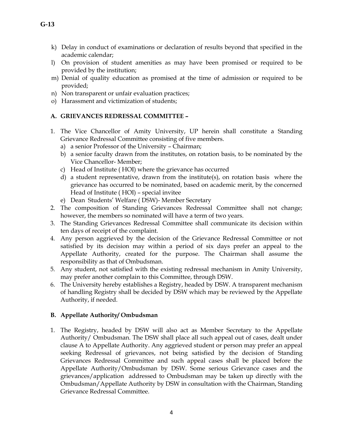- k) Delay in conduct of examinations or declaration of results beyond that specified in the academic calendar;
- l) On provision of student amenities as may have been promised or required to be provided by the institution;
- m) Denial of quality education as promised at the time of admission or required to be provided;
- n) Non transparent or unfair evaluation practices;
- o) Harassment and victimization of students;

#### **A. GRIEVANCES REDRESSAL COMMITTEE –**

- 1. The Vice Chancellor of Amity University, UP herein shall constitute a Standing Grievance Redressal Committee consisting of five members.
	- a) a senior Professor of the University Chairman;
	- b) a senior faculty drawn from the institutes, on rotation basis, to be nominated by the Vice Chancellor- Member;
	- c) Head of Institute ( HOI) where the grievance has occurred
	- d) a student representative, drawn from the institute(s), on rotation basis where the grievance has occurred to be nominated, based on academic merit, by the concerned Head of Institute ( HOI) – special invitee
	- e) Dean Students' Welfare ( DSW)- Member Secretary
- 2. The composition of Standing Grievances Redressal Committee shall not change; however, the members so nominated will have a term of two years.
- 3. The Standing Grievances Redressal Committee shall communicate its decision within ten days of receipt of the complaint.
- 4. Any person aggrieved by the decision of the Grievance Redressal Committee or not satisfied by its decision may within a period of six days prefer an appeal to the Appellate Authority, created for the purpose. The Chairman shall assume the responsibility as that of Ombudsman.
- 5. Any student, not satisfied with the existing redressal mechanism in Amity University, may prefer another complain to this Committee, through DSW.
- 6. The University hereby establishes a Registry, headed by DSW. A transparent mechanism of handling Registry shall be decided by DSW which may be reviewed by the Appellate Authority, if needed.

#### **B. Appellate Authority/ Ombudsman**

1. The Registry, headed by DSW will also act as Member Secretary to the Appellate Authority/ Ombudsman. The DSW shall place all such appeal out of cases, dealt under clause A to Appellate Authority. Any aggrieved student or person may prefer an appeal seeking Redressal of grievances, not being satisfied by the decision of Standing Grievances Redressal Committee and such appeal cases shall be placed before the Appellate Authority/Ombudsman by DSW. Some serious Grievance cases and the grievances/application addressed to Ombudsman may be taken up directly with the Ombudsman/Appellate Authority by DSW in consultation with the Chairman, Standing Grievance Redressal Committee.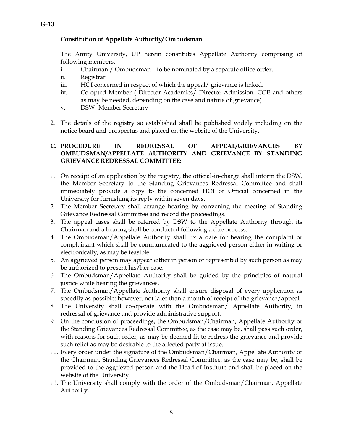#### **Constitution of Appellate Authority/ Ombudsman**

The Amity University, UP herein constitutes Appellate Authority comprising of following members.

- i. Chairman / Ombudsman to be nominated by a separate office order.
- ii. Registrar
- iii. HOI concerned in respect of which the appeal/ grievance is linked.
- iv. Co-opted Member ( Director-Academics/ Director-Admission, COE and others as may be needed, depending on the case and nature of grievance)
- v. DSW- Member Secretary
- 2. The details of the registry so established shall be published widely including on the notice board and prospectus and placed on the website of the University.

#### **C. PROCEDURE IN REDRESSAL OF APPEAL/GRIEVANCES BY OMBUDSMAN/APPELLATE AUTHORITY AND GRIEVANCE BY STANDING GRIEVANCE REDRESSAL COMMITTEE:**

- 1. On receipt of an application by the registry, the official-in-charge shall inform the DSW, the Member Secretary to the Standing Grievances Redressal Committee and shall immediately provide a copy to the concerned HOI or Official concerned in the University for furnishing its reply within seven days.
- 2. The Member Secretary shall arrange hearing by convening the meeting of Standing Grievance Redressal Committee and record the proceedings.
- 3. The appeal cases shall be referred by DSW to the Appellate Authority through its Chairman and a hearing shall be conducted following a due process.
- 4. The Ombudsman/Appellate Authority shall fix a date for hearing the complaint or complainant which shall be communicated to the aggrieved person either in writing or electronically, as may be feasible.
- 5. An aggrieved person may appear either in person or represented by such person as may be authorized to present his/her case.
- 6. The Ombudsman/Appellate Authority shall be guided by the principles of natural justice while hearing the grievances.
- 7. The Ombudsman/Appellate Authority shall ensure disposal of every application as speedily as possible; however, not later than a month of receipt of the grievance/appeal.
- 8. The University shall co-operate with the Ombudsman/ Appellate Authority, in redressal of grievance and provide administrative support.
- 9. On the conclusion of proceedings, the Ombudsman/Chairman, Appellate Authority or the Standing Grievances Redressal Committee, as the case may be, shall pass such order, with reasons for such order, as may be deemed fit to redress the grievance and provide such relief as may be desirable to the affected party at issue.
- 10. Every order under the signature of the Ombudsman/Chairman, Appellate Authority or the Chairman, Standing Grievances Redressal Committee, as the case may be, shall be provided to the aggrieved person and the Head of Institute and shall be placed on the website of the University.
- 11. The University shall comply with the order of the Ombudsman/Chairman, Appellate Authority.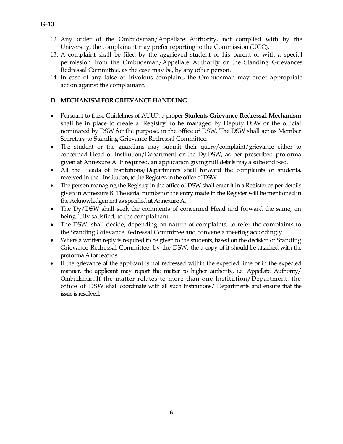- 12. Any order of the Ombudsman/Appellate Authority, not complied with by the University, the complainant may prefer reporting to the Commission (UGC).
- 13. A complaint shall be filed by the aggrieved student or his parent or with a special permission from the Ombudsman/Appellate Authority or the Standing Grievances Redressal Committee, as the case may be, by any other person.
- 14. In case of any false or frivolous complaint, the Ombudsman may order appropriate action against the complainant.

#### **D. MECHANISM FOR GRIEVANCE HANDLING**

- Pursuant to these Guidelines of AUUP, a proper **Students Grievance Redressal Mechanism** shall be in place to create a 'Registry' to be managed by Deputy DSW or the official nominated by DSW for the purpose, in the office of DSW. The DSW shall act as Member Secretary to Standing Grievance Redressal Committee.
- The student or the guardians may submit their query/complaint/grievance either to concerned Head of Institution/Department or the Dy.DSW, as per prescribed proforma given at Annexure A. If required, an application giving full details may also be enclosed.
- All the Heads of Institutions/Departments shall forward the complaints of students, received in the Institution, to the Registry, in the office of DSW.
- The person managing the Registry in the office of DSW shall enter it in a Register as per details given in Annexure B. The serial number of the entry made in the Register will be mentioned in the Acknowledgement as specified at Annexure A.
- The Dy/DSW shall seek the comments of concerned Head and forward the same, on being fully satisfied, to the complainant.
- The DSW, shall decide, depending on nature of complaints, to refer the complaints to the Standing Grievance Redressal Committee and convene a meeting accordingly.
- Where a written reply is required to be given to the students, based on the decision of Standing Grievance Redressal Committee, by the DSW, the a copy of it should be attached with the proforma A for records.
- If the grievance of the applicant is not redressed within the expected time or in the expected manner, the applicant may report the matter to higher authority, i.e. Appellate Authority/ Ombudsman. If the matter relates to more than one Institution/Department, the office of DSW shall coordinate with all such Institutions/ Departments and ensure that the issue is resolved.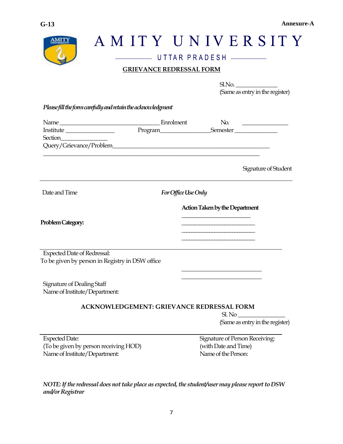

# AMITY UNIVERSITY UTTAR PRADESH **GRIEVANCE REDRESSAL FORM**  $Sl.$  No. (Same as entry in the register) *Please fill the form carefully and retain the acknowledgment*  Name \_\_\_\_\_\_\_\_\_\_\_\_\_\_\_\_\_\_\_\_\_\_\_\_\_\_\_\_\_\_\_\_\_\_\_\_ Enrolment No. \_\_\_\_\_\_\_\_\_\_\_\_\_\_\_\_\_ Institute \_\_\_\_\_\_\_\_\_\_\_\_\_\_\_\_\_ Program\_\_\_\_\_\_\_\_\_\_\_\_\_\_\_\_\_\_Semester \_\_\_\_\_\_\_\_\_\_\_\_\_\_\_ Section\_\_\_\_\_\_\_\_\_\_\_\_\_\_\_\_\_ Query/Grievance/Problem\_\_\_\_\_\_\_\_\_\_\_\_\_\_\_\_\_\_\_\_\_\_\_\_\_\_\_\_\_\_\_\_\_\_\_\_\_\_\_\_\_\_\_\_\_\_\_\_\_\_\_\_\_\_\_\_ \_\_\_\_\_\_\_\_\_\_\_\_\_\_\_\_\_\_\_\_\_\_\_\_\_\_\_\_\_\_\_\_\_\_\_\_\_\_\_\_\_\_\_\_\_\_\_\_\_\_\_\_\_\_\_\_\_\_\_\_\_\_\_\_\_\_\_\_\_\_\_\_\_\_\_\_\_\_ Signature of Student Date and Time *For Office Use Only*

Problem Category:

Expected Date of Redressal: To be given by person in Registry in DSW office

Signature of Dealing Staff Name of Institute/Department:

#### **ACKNOWLEDGEMENT: GRIEVANCE REDRESSAL FORM**

 $SLNo$ (Same as entry in the register)

Expected Date: Signature of Person Receiving: (To be given by person receiving HOD) (with Date and Time) Name of Institute/Department: Name of the Person:

**Action Taken by the Department \_\_\_\_\_\_\_\_\_\_\_\_\_\_\_\_\_\_\_\_\_\_\_\_\_\_\_**

**\_\_\_\_\_\_\_\_\_\_\_\_\_\_\_\_\_\_\_\_\_\_\_\_\_\_\_\_\_**

\_\_\_\_\_\_\_\_\_\_\_\_\_\_\_\_\_\_\_\_\_\_\_\_\_\_\_\_ \_\_\_\_\_\_\_\_\_\_\_\_\_\_\_\_\_\_\_\_\_\_\_\_\_\_\_\_

*NOTE: If the redressal does not take place as expected, the student/user may please report to DSW and/or Registrar*